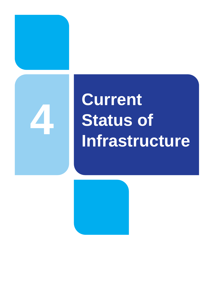

# **Current Status of Infrastructure**

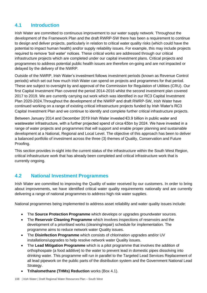# **4.1 Introduction**

Irish Water are committed to continuous improvement to our water supply network. Throughout the development of the Framework Plan and the draft RWRP-SW there has been a requirement to continue to design and deliver projects, particularly in relation to critical water quality risks (which could have the potential to impact human health) and/or supply reliability issues. For example, this may include projects required to remove 'boil water' notices. These critical works are addressed through our critical infrastructure projects which are completed under our capital investment plans. Critical projects and programmes to address potential public health issues are therefore on-going and are not impacted or delayed by the delivery of the NWRP.

Outside of the NWRP, Irish Water's investment follows investment periods (known as Revenue Control periods) which set out how much Irish Water can spend on projects and programmes for that period. These are subject to oversight by and approval of the Commission for Regulation of Utilities (CRU). Our first Capital Investment Plan covered the period 2014-2016 whilst the second investment plan covered 2017 to 2019. We are currently carrying out work which was identified in our RC3 Capital Investment Plan 2020-2024.Throughout the development of the NWRP and draft RWRP-SW, Irish Water have continued working on a range of existing critical infrastructure projects funded by Irish Water's RC3 Capital Investment Plan and we continue to identify and complete further critical infrastructure projects.

Between January 2014 and December 2019 Irish Water invested €3.9 billion in public water and wastewater infrastructure, with a further projected spend of circa €5bn by 2024. We have invested in a range of water projects and programmes that will support and enable proper planning and sustainable development at a National, Regional and Local Level. The objective of this approach has been to deliver a balanced portfolio of investment across the three (3) themes of Quality, Conservation and Future Proofing.

This section provides in-sight into the current status of the infrastructure within the South West Region, critical infrastructure work that has already been completed and critical infrastructure work that is currently ongoing.

# **4.2 National Investment Programmes**

Irish Water are committed to improving the Quality of water received by our customers. In order to bring about improvements, we have identified critical water quality requirements nationally and are currently delivering a range of national programmes to address high risk water supplies.

National programmes being implemented to address asset reliability and water quality issues include:

- The **Source Protection Programme** which develops or upgrades groundwater sources.
- The **Reservoir Cleaning Programme** which involves inspections of reservoirs and the development of a prioritised works (cleaning/repair) schedule for implementation. The programme aims to reduce network water Quality issues.
- The **Disinfection Programme** which consists of chlorination upgrades and/or UV installations/upgrades to help resolve network water Quality issues.
- The **Lead Mitigation Programme** which is a pilot programme that involves the addition of orthophospate (a food additive) to the water to prevent lead in domestic pipes dissolving into drinking water. This programme will run in parallel to the Targeted Lead Services Replacement of all lead pipework on the public parts of the distribution system and the Government National Lead Strategy.
- **Trihalomethane (THMs) Reduction** works (Box 4.1).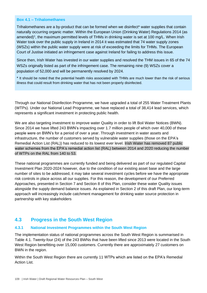#### **Box 4.1 – Trihalomethanes**

Trihalomethanes are a by-product that can be formed when we disinfect\* water supplies that contain naturally occurring organic matter. Within the European Union (Drinking Water) Regulations 2014 (as amended)<sup>1</sup>, the maximum permitted levels of THMs in drinking water is set at 100 mg/L. When Irish Water took over the public supply in Ireland in 2014 it was estimated that 74 water supply zones (WSZs) within the public water supply were at risk of exceeding the limits for THMs. The European Court of Justise initiated an infringement case against Ireland for failing to address this issue.

Since then, Irish Water has invested in our water supplies and resolved the THM issues in 65 of the 74 WSZs originally listed as part of the infringement case. The remaining nine (9) WSZs cover a population of 52,000 and will be permanently resolved by 2024.

\* It should be noted that the potential health risks associated with THMs are much lower than the risk of serious illness that could result from drinking water that has not been properly disinfected.

Through our National Disinfection Programme, we have upgraded a total of 255 Water Treatment Plants (WTPs). Under our National Lead Programme, we have replaced a total of 38,414 lead services, which represents a significant investment in protecting public health.

We are also targeting investment to improve water Quality in order to lift Boil Water Notices (BWN). Since 2014 we have lifted 243 BWN's impacting over 1.7 million people of which over 40,000 of these people were on BWN's for a period of over a year. Through investment in water assets and infrastructure, the number of customers served by vulnerable water supplies (those on the EPA's Remedial Action List (RAL)) has reduced to its lowest ever level. Irish Water has removed 87 public water schemes from the EPA's remedial action list (RAL) between 2014 and 2020 reducing the number of WTPs on the RAL from 140 to 53.

These national programmes are currently funded and being delivered as part of our regulated Capital Investment Plan 2020-2024 however, due to the condition of our existing asset base and the large number of sites to be addressed, it may take several investment cycles before we have the appropriate risk controls in place across all our supplies. For this reason, the development of our Preferred Approaches, presented in Section 7 and Section 8 of this Plan, consider these water Quality issues alongside the supply demand balance issues. As explained in Section 2 of this draft Plan, our long-term approach will increasingly include catchment management for drinking water source protection in partnership with key stakeholders

### **4.3 Progress in the South West Region**

#### **4.3.1 National Investment Programmes within the South West Region**

The implementation status of national programmes across the South West Region is summarised in Table 4.1. Twenty-four (24) of the 243 BWNs that have been lifted since 2013 were located in the South West Region benefitting over 15,000 customers. Currently there are approximately 27 customers on BWN in the region.

Within the South West Region there are currently 11 WTPs which are listed on the EPA's Remedial Action List.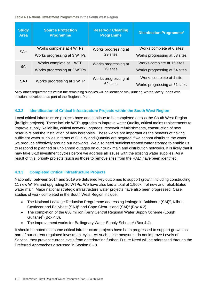**Table 4.1 National Investment Programmes in the South West Region**

| <b>Study</b><br><b>Area</b> | <b>Source Protection</b><br><b>Programme</b> | <b>Reservoir Cleaning</b><br><b>Programme</b> | <b>Disinfection Programme*</b> |
|-----------------------------|----------------------------------------------|-----------------------------------------------|--------------------------------|
| <b>SAH</b>                  | Works complete at 4 WTPs                     | Works progressing at<br>29 sites              | Works complete at 6 sites      |
|                             | Works progressing at 3 WTPs                  |                                               | Works progressing at 63 sites  |
| <b>SAI</b>                  | Works complete at 1 WTP                      | Works progressing at<br>79 sites              | Works complete at 15 sites     |
|                             | Works progressing at 2 WTPs                  |                                               | Works progressing at 64 sites  |
| SAJ                         | Works progressing at 1 WTP                   | Works progressing at<br>62 sites              | Works complete at 1 site       |
|                             |                                              |                                               | Works progressing at 61 sites  |

\*Any other requirements within the remaining supplies will be identified via Drinking Water Safety Plans with solutions developed as part of the Regional Plan.

#### **4.3.2 Identification of Critical Infrastructure Projects within the South West Region**

Local critical infrastructure projects have and continue to be completed across the South West Region (in-flight projects). These include WTP upgrades to improve water Quality, critical mains replacements to improve supply Reliability, critical network upgrades, reservoir refurbishments, construction of new reservoirs and the installation of new boreholes. These works are important as the benefits of having sufficient water supplies in terms of Quality and Quantity are negated if we cannot distribute the water we produce effectively around our networks. We also need sufficient treated water storage to enable us to respond to planned or unplanned outages on our trunk main and distribution networks. It is likely that it may take 5-10 investment cycles before we address all issues with the existing water supplies. As a result of this, priority projects (such as those to remove sites from the RAL) have been identified.

#### **4.3.3 Completed Critical Infrastructure Projects**

Nationally, between 2014 and 2019 we delivered key outcomes to support growth including constructing 11 new WTPs and upgrading 36 WTPs. We have also laid a total of 1,906km of new and rehabilitated water main. Major national strategic infrastructure water projects have also been progressed. Case studies of work completed in the South West Region include:

- The National Leakage Reduction Programme addressing leakage in Baltimore (SAI)<sup>2</sup>, Kilbrin, Castlecor and Ballyhest (SAJ)<sup>3</sup> and Cape Clear Island (SAI)<sup>4</sup> (Box 4.2).
- The completion of the €30 million Kerry Central Regional Water Supply Scheme (Lough Guitane) $5$  (Box 4.3).
- The improvement works for Ballingeary Water Supply Scheme<sup>6</sup> (Box 4.4).

It should be noted that some critical infrastructure projects have been progressed to support growth as part of our current regulated investment cycle. As such these measures do not improve Levels of Service, they prevent current levels from deteriorating further. Future Need will be addressed through the Preferred Approaches discussed in Section 6 - 8.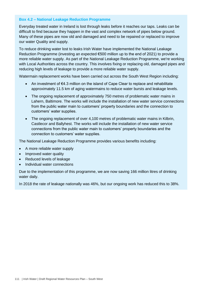#### **Box 4.2 – National Leakage Reduction Programme**

Everyday treated water in Ireland is lost through leaks before it reaches our taps. Leaks can be difficult to find because they happen in the vast and complex network of pipes below ground. Many of these pipes are now old and damaged and need to be repaired or replaced to improve our water Quality and supply.

To reduce drinking water lost to leaks Irish Water have implemented the National Leakage Reduction Programme (investing an expected €500 million up to the end of 2021) to provide a more reliable water supply. As part of the National Leakage Reduction Programme, we're working with Local Authorities across the country. This involves fixing or replacing old, damaged pipes and reducing high levels of leakage to provide a more reliable water supply.

Watermain replacement works have been carried out across the South West Region including:

- An investment of €4.3 million on the island of Cape Clear to replace and rehabilitate approximately 11.5 km of aging watermains to reduce water bursts and leakage levels.
- The ongoing replacement of approximately 750 metres of problematic water mains in Lahern, Baltimore. The works will include the installation of new water service connections from the public water main to customers' property boundaries and the connection to customers' water supplies.
- The ongoing replacement of over 4,100 metres of problematic water mains in Kilbrin, Castlecor and Ballyhest. The works will include the installation of new water service connections from the public water main to customers' property boundaries and the connection to customers' water supplies.

The National Leakage Reduction Programme provides various benefits including:

- A more reliable water supply
- Improved water quality
- Reduced levels of leakage
- Individual water connections

Due to the implementation of this programme, we are now saving 166 million litres of drinking water daily.

In 2018 the rate of leakage nationally was 46%, but our ongoing work has reduced this to 38%.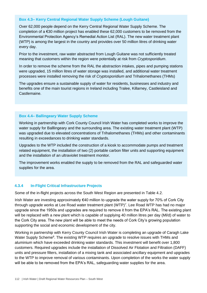#### **Box 4.3– Kerry Central Regional Water Supply Scheme (Lough Guitane)**

Over 62,000 people depend on the Kerry Central Regional Water Supply Scheme. The completion of a  $\epsilon$ 30 million project has enabled these 62,000 customers to be removed from the Environmental Protection Agency's Remedial Action List (RAL). The new water treatment plant (WTP) is among the largest in the country and provides over 50 million litres of drinking water every day.

Prior to the investment, raw water abstracted from Lough Guitane was not sufficiently treated meaning that customers within the region were potentially at risk from *Cryptosporidium*.

In order to remove the scheme from the RAL the abstraction intakes, pipes and pumping stations were upgraded, 15 million litres of water storage was installed, and additional water treatment processes were installed removing the risk of *Cryptosporidium* and Trihalomethanes (THMs)

The upgrades ensure a sustainable supply of water for residents, businesses and industry and benefits one of the main tourist regions in Ireland including Tralee, Killarney, Castleisland and Castlemaine.

#### **Box 4.4– Ballingeary Water Supply Scheme**

Working in partnership with Cork County Council Irish Water has completed works to improve the water supply for Balllingeary and the surrounding area. The existing water treatment plant (WTP) was upgraded due to elevated concentrations of Trihalomethanes (THMs) and other contaminants resulting in exceedances to drinking water standards.

Upgrades to the WTP included the construction of a kiosk to accommodate pumps and treatment related equipment, the installation of two (2) portable carbon filter units and supporting equipment and the installation of an ultraviolet treatment monitor.

The improvement works enabled the supply to be removed from the RAL and safeguarded water supplies for the area.

#### **4.3.4 In-Flight Critical Infrastructure Projects**

Some of the in-flight projects across the South West Region are presented in Table 4.2.

Irish Water are investing approximately €40 million to upgrade the water supply for 70% of Cork City through upgrade works at Lee Road water treatment plant (WTP)<sup>7</sup>. Lee Road WTP has had no major upgrade since the 1950s and upgrades are required to remove it from the EPA's RAL. The existing plant will be replaced with a new plant which is capable of supplying 40 million litres per day (Ml/d) of water to the Cork City area. The new plant will be able to meet the needs of Cork City's growing population supporting the social and economic development of the city.

Working in partnership with Kerry County Council Irish Water is completing an upgrade of Caragh Lake Water Supply Scheme<sup>8</sup>. The existing WTP requires an upgrade to resolve issues with THMs and aluminium which have exceeded drinking water standards. This investment will benefit over 1,800 customers. Required upgrades include the installation of Dissolved Air Flotation and Filtration (DAFF) units and pressure filters, installation of a mixing tank and associated ancillary equipment and upgrades to the WTP to improve removal of various contaminants. Upon completion of the works the water supply will be able to be removed from the EPA's RAL, safeguarding water supplies for the area.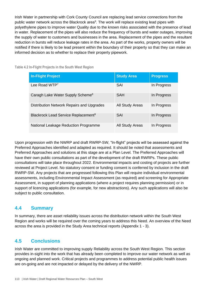Irish Water in partnership with Cork County Council are replacing lead service connections from the public water network across the Blackrock area<sup>9</sup>. The work will replace existing lead pipes with polyethylene pipes to improve water Quality due to the known risks associated with the presence of lead in water. Replacement of the pipes will also reduce the frequency of bursts and water outages, improving the supply of water to customers and businesses in the area. Replacement of the pipes and the resultant reduction in bursts will reduce leakage rates in the area. As part of the works, property owners will be notified if there is likely to be lead present within the boundary of their property so that they can make an informed decision as to whether to replace their property pipework.

| <b>In-Flight Project</b>                        | <b>Study Area</b> | <b>Progress</b> |
|-------------------------------------------------|-------------------|-----------------|
| Lee Road WTP <sup>7</sup>                       | SAI               | In Progress     |
| Caragh Lake Water Supply Scheme <sup>8</sup>    | <b>SAH</b>        | In Progress     |
| Distribution Network Repairs and Upgrades       | All Study Areas   | In Progress     |
| Blackrock Lead Service Replacement <sup>9</sup> | <b>SAI</b>        | In Progress     |
| National Leakage Reduction Programme            | All Study Areas   | In Progress     |

**Table 4.2 In-Flight Projects in the South West Region**

Upon progression with the NWRP and draft RWRP-SW, "In-flight" projects will be assessed against the Preferred Approaches identified and adapted as required. It should be noted that assessments and Preferred Approaches and solutions at this stage are at a Plan Level. The Preferred Approaches will have their own public consultations as part of the development of the draft RWRPs. These public consultations will take place throughout 2022. Environmental impacts and costing of projects are further reviewed at Project Level. No statutory consent or funding consent is conferred by inclusion in the draft RWRP-SW. Any projects that are progressed following this Plan will require individual environmental assessments, including Environmental Impact Assessment (as required) and screening for Appropriate Assessment, in support of planning applications (where a project requires planning permission) or in support of licencing applications (for example, for new abstractions). Any such applications will also be subject to public consultation.

# **4.4 Summary**

In summary, there are asset reliability issues across the distribution network within the South West Region and works will be required over the coming years to address this Need. An overview of the Need across the area is provided in the Study Area technical reports (Appendix 1 - 3).

# **4.5 Conclusions**

Irish Water are committed to improving supply Reliability across the South West Region. This section provides in-sight into the work that has already been completed to improve our water network as well as ongoing and planned work. Critical projects and programmes to address potential public health issues are on-going and are not impacted or delayed by the delivery of the NWRP.